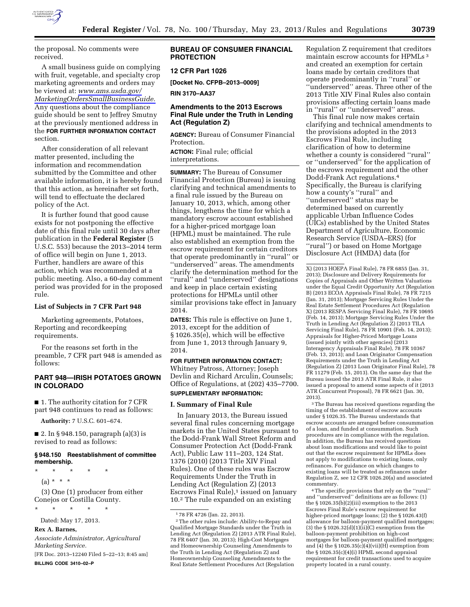

the proposal. No comments were received.

A small business guide on complying with fruit, vegetable, and specialty crop marketing agreements and orders may be viewed at: *[www.ams.usda.gov/](http://www.ams.usda.gov/MarketingOrdersSmallBusinessGuide)  [MarketingOrdersSmallBusinessGuide.](http://www.ams.usda.gov/MarketingOrdersSmallBusinessGuide)*  Any questions about the compliance guide should be sent to Jeffrey Smutny at the previously mentioned address in the **FOR FURTHER INFORMATION CONTACT** section.

After consideration of all relevant matter presented, including the information and recommendation submitted by the Committee and other available information, it is hereby found that this action, as hereinafter set forth, will tend to effectuate the declared policy of the Act.

It is further found that good cause exists for not postponing the effective date of this final rule until 30 days after publication in the **Federal Register** (5 U.S.C. 553) because the 2013–2014 term of office will begin on June 1, 2013. Further, handlers are aware of this action, which was recommended at a public meeting. Also, a 60-day comment period was provided for in the proposed rule.

#### **List of Subjects in 7 CFR Part 948**

Marketing agreements, Potatoes, Reporting and recordkeeping requirements.

For the reasons set forth in the preamble, 7 CFR part 948 is amended as follows:

## **PART 948—IRISH POTATOES GROWN IN COLORADO**

■ 1. The authority citation for 7 CFR part 948 continues to read as follows:

**Authority:** 7 U.S.C. 601–674.

■ 2. In § 948.150, paragraph (a)(3) is revised to read as follows:

#### **§ 948.150 Reestablishment of committee membership.**

\* \* \* \* \*  $(a) * * * *$ (3) One (1) producer from either

Conejos or Costilla County. \* \* \* \* \*

Dated: May 17, 2013.

**Rex A. Barnes,** 

*Associate Administrator, Agricultural Marketing Service.* 

[FR Doc. 2013–12240 Filed 5–22–13; 8:45 am] **BILLING CODE 3410–02–P** 

### **BUREAU OF CONSUMER FINANCIAL PROTECTION**

## **12 CFR Part 1026**

**[Docket No. CFPB–2013–0009]** 

**RIN 3170–AA37** 

## **Amendments to the 2013 Escrows Final Rule under the Truth in Lending Act (Regulation Z)**

**AGENCY:** Bureau of Consumer Financial Protection.

**ACTION:** Final rule; official interpretations.

**SUMMARY:** The Bureau of Consumer Financial Protection (Bureau) is issuing clarifying and technical amendments to a final rule issued by the Bureau on January 10, 2013, which, among other things, lengthens the time for which a mandatory escrow account established for a higher-priced mortgage loan (HPML) must be maintained. The rule also established an exemption from the escrow requirement for certain creditors that operate predominantly in ''rural'' or ''underserved'' areas. The amendments clarify the determination method for the ''rural'' and ''underserved'' designations and keep in place certain existing protections for HPMLs until other similar provisions take effect in January 2014.

**DATES:** This rule is effective on June 1, 2013, except for the addition of § 1026.35(e), which will be effective from June 1, 2013 through January 9, 2014.

**FOR FURTHER INFORMATION CONTACT:**  Whitney Patross, Attorney; Joseph Devlin and Richard Arculin, Counsels; Office of Regulations, at (202) 435–7700. **SUPPLEMENTARY INFORMATION:**

#### **I. Summary of Final Rule**

In January 2013, the Bureau issued several final rules concerning mortgage markets in the United States pursuant to the Dodd-Frank Wall Street Reform and Consumer Protection Act (Dodd-Frank Act), Public Law 111–203, 124 Stat. 1376 (2010) (2013 Title XIV Final Rules). One of these rules was Escrow Requirements Under the Truth in Lending Act (Regulation Z) (2013 Escrows Final Rule),<sup>1</sup> issued on January 10.2 The rule expanded on an existing

2The other rules include: Ability-to-Repay and Qualified Mortgage Standards under the Truth in Lending Act (Regulation Z) (2013 ATR Final Rule), 78 FR 6407 (Jan. 30, 2013); High-Cost Mortgages and Homeownership Counseling Amendments to the Truth in Lending Act (Regulation Z) and Homeownership Counseling Amendments to the Real Estate Settlement Procedures Act (Regulation

Regulation Z requirement that creditors maintain escrow accounts for HPMLs 3 and created an exemption for certain loans made by certain creditors that operate predominantly in ''rural'' or ''underserved'' areas. Three other of the 2013 Title XIV Final Rules also contain provisions affecting certain loans made in ''rural'' or ''underserved'' areas.

This final rule now makes certain clarifying and technical amendments to the provisions adopted in the 2013 Escrows Final Rule, including clarification of how to determine whether a county is considered ''rural'' or ''underserved'' for the application of the escrows requirement and the other Dodd-Frank Act regulations.4 Specifically, the Bureau is clarifying how a county's ''rural'' and ''underserved'' status may be determined based on currently applicable Urban Influence Codes (UICs) established by the United States Department of Agriculture, Economic Research Service (USDA–ERS) (for ''rural'') or based on Home Mortgage Disclosure Act (HMDA) data (for

3The Bureau has received questions regarding the timing of the establishment of escrow accounts under § 1026.35. The Bureau understands that escrow accounts are arranged before consummation of a loan, and funded at consummation. Such procedures are in compliance with the regulation. In addition, the Bureau has received questions about loan modifications and would like to point out that the escrow requirement for HPMLs does not apply to modifications to existing loans, only refinances. For guidance on which changes to existing loans will be treated as refinances under Regulation Z, see 12 CFR 1026.20(a) and associated commentary.

4The specific provisions that rely on the ''rural'' and ''underserved'' definitions are as follows: (1) the § 1026.35(b)(2)(iii) exemption to the 2013 Escrows Final Rule's escrow requirement for higher-priced mortgage loans; (2) the § 1026.43(f) allowance for balloon-payment qualified mortgages; (3) the  $\S 1026.32(d)(1)(ii)(C)$  exemption from the balloon-payment prohibition on high-cost mortgages for balloon-payment qualified mortgages; and (4) the § 1026.35(c)(4)(vii)(H) exemption from the § 1026.35(c)(4)(i) HPML second appraisal requirement for credit transactions used to acquire property located in a rural county.

<sup>1</sup> 78 FR 4726 (Jan. 22, 2013).

X) (2013 HOEPA Final Rule), 78 FR 6855 (Jan. 31, 2013); Disclosure and Delivery Requirements for Copies of Appraisals and Other Written Valuations under the Equal Credit Opportunity Act (Regulation B) (2013 ECOA Appraisals Final Rule), 78 FR 7215 (Jan. 31, 2013); Mortgage Servicing Rules Under the Real Estate Settlement Procedures Act (Regulation X) (2013 RESPA Servicing Final Rule), 78 FR 10695 (Feb. 14, 2013); Mortgage Servicing Rules Under the Truth in Lending Act (Regulation Z) (2013 TILA Servicing Final Rule), 78 FR 10901 (Feb. 14, 2013); Appraisals for Higher-Priced Mortgage Loans (issued jointly with other agencies) (2013 Interagency Appraisals Final Rule), 78 FR 10367 (Feb. 13, 2013); and Loan Originator Compensation Requirements under the Truth in Lending Act (Regulation Z) (2013 Loan Originator Final Rule), 78 FR 11279 (Feb. 15, 2013). On the same day that the Bureau issued the 2013 ATR Final Rule, it also issued a proposal to amend some aspects of it (2013 ATR Concurrent Proposal), 78 FR 6621 (Jan. 30, 2013).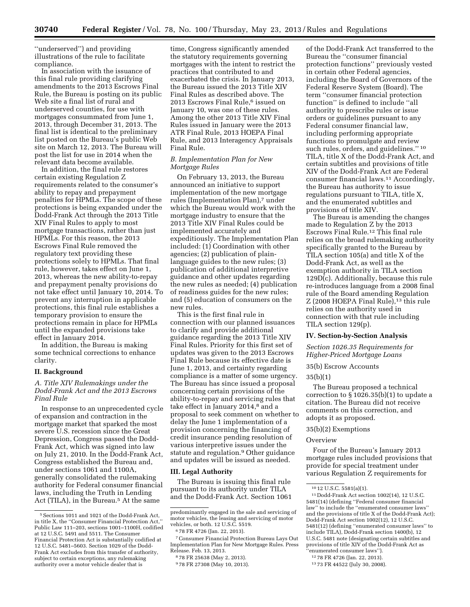''underserved'') and providing illustrations of the rule to facilitate compliance.

In association with the issuance of this final rule providing clarifying amendments to the 2013 Escrows Final Rule, the Bureau is posting on its public Web site a final list of rural and underserved counties, for use with mortgages consummated from June 1, 2013, through December 31, 2013. The final list is identical to the preliminary list posted on the Bureau's public Web site on March 12, 2013. The Bureau will post the list for use in 2014 when the relevant data become available.

In addition, the final rule restores certain existing Regulation Z requirements related to the consumer's ability to repay and prepayment penalties for HPMLs. The scope of these protections is being expanded under the Dodd-Frank Act through the 2013 Title XIV Final Rules to apply to most mortgage transactions, rather than just HPMLs. For this reason, the 2013 Escrows Final Rule removed the regulatory text providing these protections solely to HPMLs. That final rule, however, takes effect on June 1, 2013, whereas the new ability-to-repay and prepayment penalty provisions do not take effect until January 10, 2014. To prevent any interruption in applicable protections, this final rule establishes a temporary provision to ensure the protections remain in place for HPMLs until the expanded provisions take effect in January 2014.

In addition, the Bureau is making some technical corrections to enhance clarity.

#### **II. Background**

## *A. Title XIV Rulemakings under the Dodd-Frank Act and the 2013 Escrows Final Rule*

In response to an unprecedented cycle of expansion and contraction in the mortgage market that sparked the most severe U.S. recession since the Great Depression, Congress passed the Dodd-Frank Act, which was signed into law on July 21, 2010. In the Dodd-Frank Act, Congress established the Bureau and, under sections 1061 and 1100A, generally consolidated the rulemaking authority for Federal consumer financial laws, including the Truth in Lending Act (TILA), in the Bureau.5 At the same

time, Congress significantly amended the statutory requirements governing mortgages with the intent to restrict the practices that contributed to and exacerbated the crisis. In January 2013, the Bureau issued the 2013 Title XIV Final Rules as described above. The 2013 Escrows Final Rule,<sup>6</sup> issued on January 10, was one of these rules. Among the other 2013 Title XIV Final Rules issued in January were the 2013 ATR Final Rule, 2013 HOEPA Final Rule, and 2013 Interagency Appraisals Final Rule.

## *B. Implementation Plan for New Mortgage Rules*

On February 13, 2013, the Bureau announced an initiative to support implementation of the new mortgage rules (Implementation Plan),<sup>7</sup> under which the Bureau would work with the mortgage industry to ensure that the 2013 Title XIV Final Rules could be implemented accurately and expeditiously. The Implementation Plan included: (1) Coordination with other agencies; (2) publication of plainlanguage guides to the new rules; (3) publication of additional interpretive guidance and other updates regarding the new rules as needed; (4) publication of readiness guides for the new rules; and (5) education of consumers on the new rules.

This is the first final rule in connection with our planned issuances to clarify and provide additional guidance regarding the 2013 Title XIV Final Rules. Priority for this first set of updates was given to the 2013 Escrows Final Rule because its effective date is June 1, 2013, and certainty regarding compliance is a matter of some urgency. The Bureau has since issued a proposal concerning certain provisions of the ability-to-repay and servicing rules that take effect in January 2014,<sup>8</sup> and a proposal to seek comment on whether to delay the June 1 implementation of a provision concerning the financing of credit insurance pending resolution of various interpretive issues under the statute and regulation.9 Other guidance and updates will be issued as needed.

#### **III. Legal Authority**

The Bureau is issuing this final rule pursuant to its authority under TILA and the Dodd-Frank Act. Section 1061

of the Dodd-Frank Act transferred to the Bureau the ''consumer financial protection functions'' previously vested in certain other Federal agencies, including the Board of Governors of the Federal Reserve System (Board). The term ''consumer financial protection function'' is defined to include ''all authority to prescribe rules or issue orders or guidelines pursuant to any Federal consumer financial law, including performing appropriate functions to promulgate and review such rules, orders, and guidelines.'' 10 TILA, title X of the Dodd-Frank Act, and certain subtitles and provisions of title XIV of the Dodd-Frank Act are Federal consumer financial laws.11 Accordingly, the Bureau has authority to issue regulations pursuant to TILA, title X, and the enumerated subtitles and provisions of title XIV.

The Bureau is amending the changes made to Regulation Z by the 2013 Escrows Final Rule.12 This final rule relies on the broad rulemaking authority specifically granted to the Bureau by TILA section 105(a) and title X of the Dodd-Frank Act, as well as the exemption authority in TILA section 129D(c). Additionally, because this rule re-introduces language from a 2008 final rule of the Board amending Regulation Z (2008 HOEPA Final Rule),<sup>13</sup> this rule relies on the authority used in connection with that rule including TILA section 129(p).

### **IV. Section-by-Section Analysis**

*Section 1026.35 Requirements for Higher-Priced Mortgage Loans* 

### 35(b) Escrow Accounts

### 35(b)(1)

The Bureau proposed a technical correction to § 1026.35(b)(1) to update a citation. The Bureau did not receive comments on this correction, and adopts it as proposed.

### 35(b)(2) Exemptions

#### **Overview**

Four of the Bureau's January 2013 mortgage rules included provisions that provide for special treatment under various Regulation Z requirements for

<sup>5</sup>Sections 1011 and 1021 of the Dodd-Frank Act, in title X, the ''Consumer Financial Protection Act,'' Public Law 111–203, sections 1001–1100H, codified at 12 U.S.C. 5491 and 5511. The Consumer Financial Protection Act is substantially codified at 12 U.S.C. 5481–5603. Section 1029 of the Dodd-Frank Act excludes from this transfer of authority, subject to certain exceptions, any rulemaking authority over a motor vehicle dealer that is

predominantly engaged in the sale and servicing of motor vehicles, the leasing and servicing of motor vehicles, or both. 12 U.S.C. 5519.

<sup>6</sup> 78 FR 4726 (Jan. 22, 2013).

<sup>7</sup>Consumer Financial Protection Bureau Lays Out Implementation Plan for New Mortgage Rules. Press Release. Feb. 13, 2013.

<sup>8</sup> 78 FR 25638 (May 2, 2013).

<sup>9</sup> 78 FR 27308 (May 10, 2013).

<sup>10</sup> 12 U.S.C. 5581(a)(1).

<sup>11</sup> Dodd-Frank Act section 1002(14), 12 U.S.C. 5481(14) (defining ''Federal consumer financial law'' to include the ''enumerated consumer laws'' and the provisions of title X of the Dodd-Frank Act); Dodd-Frank Act section 1002(12), 12 U.S.C. 5481(12) (defining ''enumerated consumer laws'' to include TILA), Dodd-Frank section 1400(b), 12 U.S.C. 5481 note (designating certain subtitles and provisions of title XIV of the Dodd-Frank Act as ''enumerated consumer laws'').

<sup>12</sup> 78 FR 4726 (Jan. 22, 2013).

<sup>13</sup> 73 FR 44522 (July 30, 2008).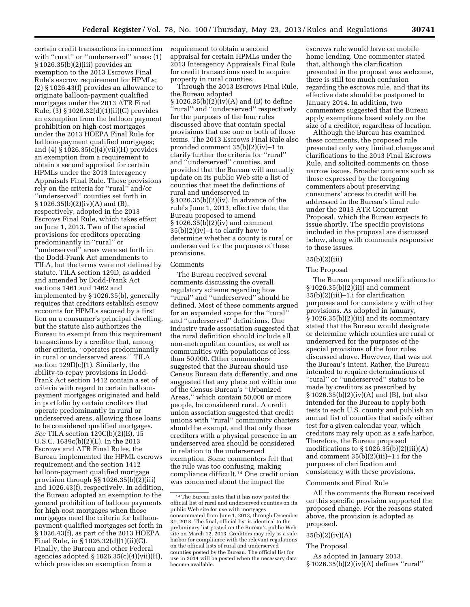certain credit transactions in connection with "rural" or "underserved" areas:  $(1)$ § 1026.35(b)(2)(iii) provides an exemption to the 2013 Escrows Final Rule's escrow requirement for HPMLs; (2) § 1026.43(f) provides an allowance to originate balloon-payment qualified mortgages under the 2013 ATR Final Rule; (3) § 1026.32(d)(1)(ii)(C) provides an exemption from the balloon payment prohibition on high-cost mortgages under the 2013 HOEPA Final Rule for balloon-payment qualified mortgages; and (4) § 1026.35(c)(4)(vii)(H) provides an exemption from a requirement to obtain a second appraisal for certain HPMLs under the 2013 Interagency Appraisals Final Rule. These provisions rely on the criteria for ''rural'' and/or ''underserved'' counties set forth in  $\S 1026.35(b)(2)(iv)(A)$  and  $(B)$ , respectively, adopted in the 2013 Escrows Final Rule, which takes effect on June 1, 2013. Two of the special provisions for creditors operating predominantly in ''rural'' or ''underserved'' areas were set forth in the Dodd-Frank Act amendments to TILA, but the terms were not defined by statute. TILA section 129D, as added and amended by Dodd-Frank Act sections 1461 and 1462 and implemented by § 1026.35(b), generally requires that creditors establish escrow accounts for HPMLs secured by a first lien on a consumer's principal dwelling, but the statute also authorizes the Bureau to exempt from this requirement transactions by a creditor that, among other criteria, ''operates predominantly in rural or underserved areas.'' TILA section 129D(c)(1). Similarly, the ability-to-repay provisions in Dodd-Frank Act section 1412 contain a set of criteria with regard to certain balloonpayment mortgages originated and held in portfolio by certain creditors that operate predominantly in rural or underserved areas, allowing those loans to be considered qualified mortgages. *See* TILA section 129C(b)(2)(E), 15 U.S.C. 1639c(b)(2)(E). In the 2013 Escrows and ATR Final Rules, the Bureau implemented the HPML escrows requirement and the section 1412 balloon-payment qualified mortgage provision through  $\S$ § 1026.35(b)(2)(iii) and 1026.43(f), respectively. In addition, the Bureau adopted an exemption to the general prohibition of balloon payments for high-cost mortgages when those mortgages meet the criteria for balloonpayment qualified mortgages set forth in § 1026.43(f), as part of the 2013 HOEPA Final Rule, in § 1026.32(d)(1)(ii)(C). Finally, the Bureau and other Federal agencies adopted  $\S 1026.35(c)(4)(vii)(H)$ , which provides an exemption from a

requirement to obtain a second appraisal for certain HPMLs under the 2013 Interagency Appraisals Final Rule for credit transactions used to acquire property in rural counties.

Through the 2013 Escrows Final Rule, the Bureau adopted § 1026.35(b)(2)(iv)(A) and (B) to define ''rural'' and ''underserved'' respectively for the purposes of the four rules discussed above that contain special provisions that use one or both of those terms. The 2013 Escrows Final Rule also provided comment 35(b)(2)(iv)–1 to clarify further the criteria for ''rural'' and ''underserved'' counties, and provided that the Bureau will annually update on its public Web site a list of counties that meet the definitions of rural and underserved in § 1026.35(b)(2)(iv). In advance of the rule's June 1, 2013, effective date, the Bureau proposed to amend § 1026.35(b)(2)(iv) and comment  $35(b)(2)(iv)$ –1 to clarify how to determine whether a county is rural or underserved for the purposes of these provisions.

### Comments

The Bureau received several comments discussing the overall regulatory scheme regarding how ''rural'' and ''underserved'' should be defined. Most of these comments argued for an expanded scope for the ''rural'' and ''underserved'' definitions. One industry trade association suggested that the rural definition should include all non-metropolitan counties, as well as communities with populations of less than 50,000. Other commenters suggested that the Bureau should use Census Bureau data differently, and one suggested that any place not within one of the Census Bureau's ''Urbanized Areas,'' which contain 50,000 or more people, be considered rural. A credit union association suggested that credit unions with ''rural'' community charters should be exempt, and that only those creditors with a physical presence in an underserved area should be considered in relation to the underserved exemption. Some commenters felt that the rule was too confusing, making compliance difficult.14 One credit union was concerned about the impact the

escrows rule would have on mobile home lending. One commenter stated that, although the clarification presented in the proposal was welcome, there is still too much confusion regarding the escrows rule, and that its effective date should be postponed to January 2014. In addition, two commenters suggested that the Bureau apply exemptions based solely on the size of a creditor, regardless of location.

Although the Bureau has examined these comments, the proposed rule presented only very limited changes and clarifications to the 2013 Final Escrows Rule, and solicited comments on those narrow issues. Broader concerns such as those expressed by the foregoing commenters about preserving consumers' access to credit will be addressed in the Bureau's final rule under the 2013 ATR Concurrent Proposal, which the Bureau expects to issue shortly. The specific provisions included in the proposal are discussed below, along with comments responsive to those issues.

### 35(b)(2)(iii)

### The Proposal

The Bureau proposed modifications to § 1026.35(b)(2)(iii) and comment 35(b)(2)(iii)–1.i for clarification purposes and for consistency with other provisions. As adopted in January, § 1026.35(b)(2)(iii) and its commentary stated that the Bureau would designate or determine which counties are rural or underserved for the purposes of the special provisions of the four rules discussed above. However, that was not the Bureau's intent. Rather, the Bureau intended to require determinations of ''rural'' or ''underserved'' status to be made by creditors as prescribed by § 1026.35(b)(2)(iv)(A) and (B), but also intended for the Bureau to apply both tests to each U.S. county and publish an annual list of counties that satisfy either test for a given calendar year, which creditors may rely upon as a safe harbor. Therefore, the Bureau proposed modifications to  $\S 1026.35(b)(2)(iii)(A)$ and comment 35(b)(2)(iii)–1.i for the purposes of clarification and consistency with these provisions.

#### Comments and Final Rule

All the comments the Bureau received on this specific provision supported the proposed change. For the reasons stated above, the provision is adopted as proposed.

#### $35(b)(2)(iv)(A)$

#### The Proposal

As adopted in January 2013, § 1026.35(b)(2)(iv)(A) defines ''rural''

<sup>14</sup>The Bureau notes that it has now posted the official list of rural and underserved counties on its public Web site for use with mortgages consummated from June 1, 2013, through December 31, 2013. The final, official list is identical to the preliminary list posted on the Bureau's public Web site on March 12, 2013. Creditors may rely as a safe harbor for compliance with the relevant regulations on the official lists of rural and underserved counties posted by the Bureau. The official list for use in 2014 will be posted when the necessary data become available.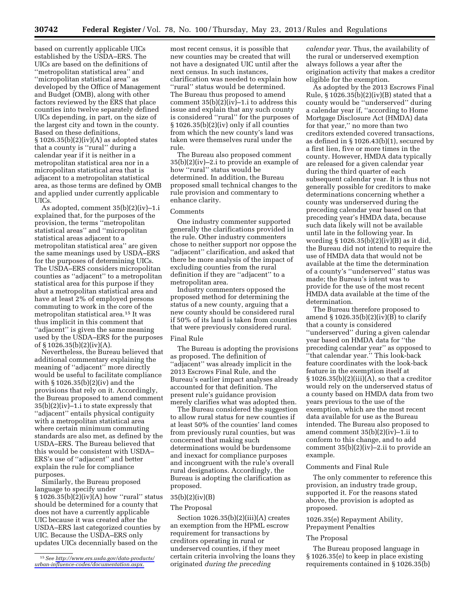based on currently applicable UICs established by the USDA–ERS. The UICs are based on the definitions of ''metropolitan statistical area'' and ''micropolitan statistical area'' as developed by the Office of Management and Budget (OMB), along with other factors reviewed by the ERS that place counties into twelve separately defined UICs depending, in part, on the size of the largest city and town in the county. Based on these definitions,  $§ 1026.35(b)(2)(iv)(A)$  as adopted states that a county is ''rural'' during a calendar year if it is neither in a metropolitan statistical area nor in a micropolitan statistical area that is adjacent to a metropolitan statistical area, as those terms are defined by OMB and applied under currently applicable UICs.

As adopted, comment 35(b)(2)(iv)–1.i explained that, for the purposes of the provision, the terms ''metropolitan statistical areas'' and ''micropolitan statistical areas adjacent to a metropolitan statistical area'' are given the same meanings used by USDA–ERS for the purposes of determining UICs. The USDA–ERS considers micropolitan counties as ''adjacent'' to a metropolitan statistical area for this purpose if they abut a metropolitan statistical area and have at least 2% of employed persons commuting to work in the core of the metropolitan statistical area.15 It was thus implicit in this comment that ''adjacent'' is given the same meaning used by the USDA–ERS for the purposes of § 1026.35(b)(2)(iv)(A).

Nevertheless, the Bureau believed that additional commentary explaining the meaning of ''adjacent'' more directly would be useful to facilitate compliance with § 1026.35(b)(2)(iv) and the provisions that rely on it. Accordingly, the Bureau proposed to amend comment 35(b)(2)(iv)–1.i to state expressly that ''adjacent'' entails physical contiguity with a metropolitan statistical area where certain minimum commuting standards are also met, as defined by the USDA–ERS. The Bureau believed that this would be consistent with USDA– ERS's use of ''adjacent'' and better explain the rule for compliance purposes.

Similarly, the Bureau proposed language to specify under § 1026.35(b)(2)(iv)(A) how ''rural'' status should be determined for a county that does not have a currently applicable UIC because it was created after the USDA–ERS last categorized counties by UIC. Because the USDA–ERS only updates UICs decennially based on the

most recent census, it is possible that new counties may be created that will not have a designated UIC until after the next census. In such instances, clarification was needed to explain how ''rural'' status would be determined. The Bureau thus proposed to amend comment 35(b)(2)(iv)–1.i to address this issue and explain that any such county is considered ''rural'' for the purposes of § 1026.35(b)(2)(iv) only if all counties from which the new county's land was taken were themselves rural under the rule.

The Bureau also proposed comment 35(b)(2)(iv)–2.i to provide an example of how ''rural'' status would be determined. In addition, the Bureau proposed small technical changes to the rule provision and commentary to enhance clarity.

#### Comments

One industry commenter supported generally the clarifications provided in the rule. Other industry commenters chose to neither support nor oppose the ''adjacent'' clarification, and asked that there be more analysis of the impact of excluding counties from the rural definition if they are ''adjacent'' to a metropolitan area.

Industry commenters opposed the proposed method for determining the status of a new county, arguing that a new county should be considered rural if 50% of its land is taken from counties that were previously considered rural.

### Final Rule

The Bureau is adopting the provisions as proposed. The definition of ''adjacent'' was already implicit in the 2013 Escrows Final Rule, and the Bureau's earlier impact analyses already accounted for that definition. The present rule's guidance provision merely clarifies what was adopted then.

The Bureau considered the suggestion to allow rural status for new counties if at least 50% of the counties' land comes from previously rural counties, but was concerned that making such determinations would be burdensome and inexact for compliance purposes and incongruent with the rule's overall rural designations. Accordingly, the Bureau is adopting the clarification as proposed.

#### 35(b)(2)(iv)(B)

#### The Proposal

Section  $1026.35(b)(2)(iii)(A)$  creates an exemption from the HPML escrow requirement for transactions by creditors operating in rural or underserved counties, if they meet certain criteria involving the loans they originated *during the preceding* 

*calendar year.* Thus, the availability of the rural or underserved exemption always follows a year after the origination activity that makes a creditor eligible for the exemption.

As adopted by the 2013 Escrows Final Rule, § 1026.35(b)(2)(iv)(B) stated that a county would be ''underserved'' during a calendar year if, ''according to Home Mortgage Disclosure Act (HMDA) data for that year,'' no more than two creditors extended covered transactions, as defined in § 1026.43(b)(1), secured by a first lien, five or more times in the county. However, HMDA data typically are released for a given calendar year during the third quarter of each subsequent calendar year. It is thus not generally possible for creditors to make determinations concerning whether a county was underserved during the preceding calendar year based on that preceding year's HMDA data, because such data likely will not be available until late in the following year. In wording  $\S 1026.35(b)(2)(iv)(B)$  as it did, the Bureau did not intend to require the use of HMDA data that would not be available at the time the determination of a county's ''underserved'' status was made; the Bureau's intent was to provide for the use of the most recent HMDA data available at the time of the determination.

The Bureau therefore proposed to amend  $\S 1026.35(b)(2)(iv)(B)$  to clarify that a county is considered ''underserved'' during a given calendar year based on HMDA data for ''the preceding calendar year'' as opposed to ''that calendar year.'' This look-back feature coordinates with the look-back feature in the exemption itself at  $\S 1026.35(b)(2)(iii)(A)$ , so that a creditor would rely on the underserved status of a county based on HMDA data from two years previous to the use of the exemption, which are the most recent data available for use as the Bureau intended. The Bureau also proposed to amend comment 35(b)(2)(iv)–1.ii to conform to this change, and to add comment 35(b)(2)(iv)–2.ii to provide an example.

### Comments and Final Rule

The only commenter to reference this provision, an industry trade group, supported it. For the reasons stated above, the provision is adopted as proposed.

### 1026.35(e) Repayment Ability, Prepayment Penalties

#### The Proposal

The Bureau proposed language in § 1026.35(e) to keep in place existing requirements contained in § 1026.35(b)

<sup>15</sup>*See [http://www.ers.usda.gov/data-products/](http://www.ers.usda.gov/data-products/urban-influence-codes/documentation.aspx) [urban-influence-codes/documentation.aspx.](http://www.ers.usda.gov/data-products/urban-influence-codes/documentation.aspx)*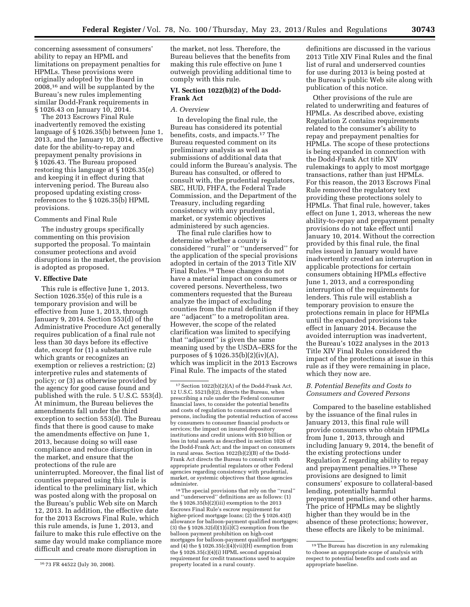concerning assessment of consumers' ability to repay an HPML and limitations on prepayment penalties for HPMLs. These provisions were originally adopted by the Board in 2008,16 and will be supplanted by the Bureau's new rules implementing similar Dodd-Frank requirements in § 1026.43 on January 10, 2014.

The 2013 Escrows Final Rule inadvertently removed the existing language of § 1026.35(b) between June 1, 2013, and the January 10, 2014, effective date for the ability-to-repay and prepayment penalty provisions in § 1026.43. The Bureau proposed restoring this language at § 1026.35(e) and keeping it in effect during that intervening period. The Bureau also proposed updating existing crossreferences to the § 1026.35(b) HPML provisions.

# Comments and Final Rule

The industry groups specifically commenting on this provision supported the proposal. To maintain consumer protections and avoid disruptions in the market, the provision is adopted as proposed.

### **V. Effective Date**

This rule is effective June 1, 2013. Section 1026.35(e) of this rule is a temporary provision and will be effective from June 1, 2013, through January 9, 2014. Section 553(d) of the Administrative Procedure Act generally requires publication of a final rule not less than 30 days before its effective date, except for (1) a substantive rule which grants or recognizes an exemption or relieves a restriction; (2) interpretive rules and statements of policy; or (3) as otherwise provided by the agency for good cause found and published with the rule. 5 U.S.C. 553(d). At minimum, the Bureau believes the amendments fall under the third exception to section 553(d). The Bureau finds that there is good cause to make the amendments effective on June 1, 2013, because doing so will ease compliance and reduce disruption in the market, and ensure that the protections of the rule are uninterrupted. Moreover, the final list of counties prepared using this rule is identical to the preliminary list, which was posted along with the proposal on the Bureau's public Web site on March 12, 2013. In addition, the effective date for the 2013 Escrows Final Rule, which this rule amends, is June 1, 2013, and failure to make this rule effective on the same day would make compliance more difficult and create more disruption in

the market, not less. Therefore, the Bureau believes that the benefits from making this rule effective on June 1 outweigh providing additional time to comply with this rule.

### **VI. Section 1022(b)(2) of the Dodd-Frank Act**

#### *A. Overview*

In developing the final rule, the Bureau has considered its potential benefits, costs, and impacts.17 The Bureau requested comment on its preliminary analysis as well as submissions of additional data that could inform the Bureau's analysis. The Bureau has consulted, or offered to consult with, the prudential regulators, SEC, HUD, FHFA, the Federal Trade Commission, and the Department of the Treasury, including regarding consistency with any prudential, market, or systemic objectives administered by such agencies.

The final rule clarifies how to determine whether a county is considered ''rural'' or ''underserved'' for the application of the special provisions adopted in certain of the 2013 Title XIV Final Rules.18 These changes do not have a material impact on consumers or covered persons. Nevertheless, two commenters requested that the Bureau analyze the impact of excluding counties from the rural definition if they are ''adjacent'' to a metropolitan area. However, the scope of the related clarification was limited to specifying that ''adjacent'' is given the same meaning used by the USDA–ERS for the purposes of § 1026.35(b)(2)(iv)(A), which was implicit in the 2013 Escrows Final Rule. The impacts of the stated

18The special provisions that rely on the ''rural'' and ''underserved'' definitions are as follows: (1) the § 1026.35(b)(2)(iii) exemption to the 2013 Escrows Final Rule's escrow requirement for higher-priced mortgage loans; (2) the § 1026.43(f) allowance for balloon-payment qualified mortgages; (3) the  $\S 1026.32(d)(1)(ii)(C)$  exemption from the balloon payment prohibition on high-cost mortgages for balloon-payment qualified mortgages; and  $(4)$  the § 1026.35(c)( $4$ )(vii)(H) exemption from the § 1026.35(c)(4)(i) HPML second appraisal requirement for credit transactions used to acquire property located in a rural county.

definitions are discussed in the various 2013 Title XIV Final Rules and the final list of rural and underserved counties for use during 2013 is being posted at the Bureau's public Web site along with publication of this notice.

Other provisions of the rule are related to underwriting and features of HPMLs. As described above, existing Regulation Z contains requirements related to the consumer's ability to repay and prepayment penalties for HPMLs. The scope of these protections is being expanded in connection with the Dodd-Frank Act title XIV rulemakings to apply to most mortgage transactions, rather than just HPMLs. For this reason, the 2013 Escrows Final Rule removed the regulatory text providing these protections solely to HPMLs. That final rule, however, takes effect on June 1, 2013, whereas the new ability-to-repay and prepayment penalty provisions do not take effect until January 10, 2014. Without the correction provided by this final rule, the final rules issued in January would have inadvertently created an interruption in applicable protections for certain consumers obtaining HPMLs effective June 1, 2013, and a corresponding interruption of the requirements for lenders. This rule will establish a temporary provision to ensure the protections remain in place for HPMLs until the expanded provisions take effect in January 2014. Because the avoided interruption was inadvertent, the Bureau's 1022 analyses in the 2013 Title XIV Final Rules considered the impact of the protections at issue in this rule as if they were remaining in place, which they now are.

### *B. Potential Benefits and Costs to Consumers and Covered Persons*

Compared to the baseline established by the issuance of the final rules in January 2013, this final rule will provide consumers who obtain HPMLs from June 1, 2013, through and including January 9, 2014, the benefit of the existing protections under Regulation Z regarding ability to repay and prepayment penalties.19 These provisions are designed to limit consumers' exposure to collateral-based lending, potentially harmful prepayment penalties, and other harms. The price of HPMLs may be slightly higher than they would be in the absence of these protections; however, these effects are likely to be minimal.

<sup>16</sup> 73 FR 44522 (July 30, 2008).

<sup>17</sup>Section 1022(b)(2)(A) of the Dodd-Frank Act, 12 U.S.C. 5521(b)(2), directs the Bureau, when prescribing a rule under the Federal consumer financial laws, to consider the potential benefits and costs of regulation to consumers and covered persons, including the potential reduction of access by consumers to consumer financial products or services; the impact on insured depository institutions and credit unions with \$10 billion or less in total assets as described in section 1026 of the Dodd-Frank Act; and the impact on consumers in rural areas. Section  $1022(b)(2)(B)$  of the Dodd-Frank Act directs the Bureau to consult with appropriate prudential regulators or other Federal agencies regarding consistency with prudential, market, or systemic objectives that those agencies administer.

<sup>19</sup>The Bureau has discretion in any rulemaking to choose an appropriate scope of analysis with respect to potential benefits and costs and an appropriate baseline.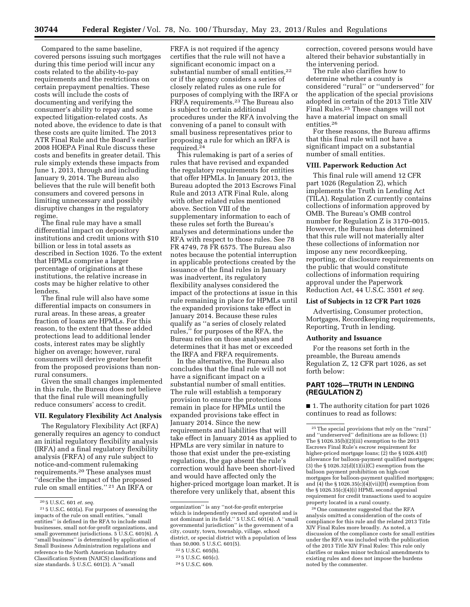Compared to the same baseline, covered persons issuing such mortgages during this time period will incur any costs related to the ability-to-pay requirements and the restrictions on certain prepayment penalties. These costs will include the costs of documenting and verifying the consumer's ability to repay and some expected litigation-related costs. As noted above, the evidence to date is that these costs are quite limited. The 2013 ATR Final Rule and the Board's earlier 2008 HOEPA Final Rule discuss these costs and benefits in greater detail. This rule simply extends these impacts from June 1, 2013, through and including January 9, 2014. The Bureau also believes that the rule will benefit both consumers and covered persons in limiting unnecessary and possibly disruptive changes in the regulatory regime.

The final rule may have a small differential impact on depository institutions and credit unions with \$10 billion or less in total assets as described in Section 1026. To the extent that HPMLs comprise a larger percentage of originations at these institutions, the relative increase in costs may be higher relative to other lenders.

The final rule will also have some differential impacts on consumers in rural areas. In these areas, a greater fraction of loans are HPMLs. For this reason, to the extent that these added protections lead to additional lender costs, interest rates may be slightly higher on average; however, rural consumers will derive greater benefit from the proposed provisions than nonrural consumers.

Given the small changes implemented in this rule, the Bureau does not believe that the final rule will meaningfully reduce consumers' access to credit.

#### **VII. Regulatory Flexibility Act Analysis**

The Regulatory Flexibility Act (RFA) generally requires an agency to conduct an initial regulatory flexibility analysis (IRFA) and a final regulatory flexibility analysis (FRFA) of any rule subject to notice-and-comment rulemaking requirements.20 These analyses must ''describe the impact of the proposed rule on small entities.'' 21 An IRFA or

FRFA is not required if the agency certifies that the rule will not have a significant economic impact on a substantial number of small entities,<sup>22</sup> or if the agency considers a series of closely related rules as one rule for purposes of complying with the IRFA or FRFA requirements.23 The Bureau also is subject to certain additional procedures under the RFA involving the convening of a panel to consult with small business representatives prior to proposing a rule for which an IRFA is required.24

This rulemaking is part of a series of rules that have revised and expanded the regulatory requirements for entities that offer HPMLs. In January 2013, the Bureau adopted the 2013 Escrows Final Rule and 2013 ATR Final Rule, along with other related rules mentioned above. Section VIII of the supplementary information to each of these rules set forth the Bureau's analyses and determinations under the RFA with respect to those rules. See 78 FR 4749, 78 FR 6575. The Bureau also notes because the potential interruption in applicable protections created by the issuance of the final rules in January was inadvertent, its regulatory flexibility analyses considered the impact of the protections at issue in this rule remaining in place for HPMLs until the expanded provisions take effect in January 2014. Because these rules qualify as ''a series of closely related rules,'' for purposes of the RFA, the Bureau relies on those analyses and determines that it has met or exceeded the IRFA and FRFA requirements.

In the alternative, the Bureau also concludes that the final rule will not have a significant impact on a substantial number of small entities. The rule will establish a temporary provision to ensure the protections remain in place for HPMLs until the expanded provisions take effect in January 2014. Since the new requirements and liabilities that will take effect in January 2014 as applied to HPMLs are very similar in nature to those that exist under the pre-existing regulations, the gap absent the rule's correction would have been short-lived and would have affected only the higher-priced mortgage loan market. It is therefore very unlikely that, absent this

correction, covered persons would have altered their behavior substantially in the intervening period.

The rule also clarifies how to determine whether a county is considered ''rural'' or ''underserved'' for the application of the special provisions adopted in certain of the 2013 Title XIV Final Rules.25 These changes will not have a material impact on small entities<sup>26</sup>

For these reasons, the Bureau affirms that this final rule will not have a significant impact on a substantial number of small entities.

### **VIII. Paperwork Reduction Act**

This final rule will amend 12 CFR part 1026 (Regulation Z), which implements the Truth in Lending Act (TILA). Regulation Z currently contains collections of information approved by OMB. The Bureau's OMB control number for Regulation Z is 3170–0015. However, the Bureau has determined that this rule will not materially alter these collections of information nor impose any new recordkeeping, reporting, or disclosure requirements on the public that would constitute collections of information requiring approval under the Paperwork Reduction Act, 44 U.S.C. 3501 *et seq.* 

#### **List of Subjects in 12 CFR Part 1026**

Advertising, Consumer protection, Mortgages, Recordkeeping requirements, Reporting, Truth in lending.

### **Authority and Issuance**

For the reasons set forth in the preamble, the Bureau amends Regulation Z, 12 CFR part 1026, as set forth below:

## **PART 1026—TRUTH IN LENDING (REGULATION Z)**

■ 1. The authority citation for part 1026 continues to read as follows:

26One commenter suggested that the RFA analysis omitted a consideration of the costs of compliance for this rule and the related 2013 Title XIV Final Rules more broadly. As noted, a discussion of the compliance costs for small entities under the RFA was included with the publication of the 2013 Title XIV Final Rules: This rule only clarifies or makes minor technical amendments to existing rules and does not impose the burdens noted by the commenter.

<sup>20</sup> 5 U.S.C. 601 *et. seq.* 

<sup>21</sup> 5 U.S.C. 603(a). For purposes of assessing the impacts of the rule on small entities, ''small entities'' is defined in the RFA to include small businesses, small not-for-profit organizations, and small government jurisdictions. 5 U.S.C. 601(6). A ''small business'' is determined by application of Small Business Administration regulations and reference to the North American Industry Classification System (NAICS) classifications and size standards. 5 U.S.C. 601(3). A ''small

organization'' is any ''not-for-profit enterprise which is independently owned and operated and is not dominant in its field.'' 5 U.S.C. 601(4). A ''small governmental jurisdiction'' is the government of a city, county, town, township, village, school district, or special district with a population of less than 50,000. 5 U.S.C. 601(5).

<sup>22</sup> 5 U.S.C. 605(b).

<sup>23</sup> 5 U.S.C. 605(c).

<sup>24</sup> 5 U.S.C. 609.

<sup>25</sup>The special provisions that rely on the ''rural'' and ''underserved'' definitions are as follows: (1) The § 1026.35(b)(2)(iii) exemption to the 2013 Escrows Final Rule's escrow requirement for higher-priced mortgage loans; (2) the § 1026.43(f) allowance for balloon-payment qualified mortgages; (3) the § 1026.32(d)(1)( $\tilde{i}$ i)(C) exemption from the balloon payment prohibition on high-cost mortgages for balloon-payment qualified mortgages; and (4) the § 1026.35(c)(4)(vii)(H) exemption from the § 1026.35(c)(4)(i) HPML second appraisal requirement for credit transactions used to acquire property located in a rural county.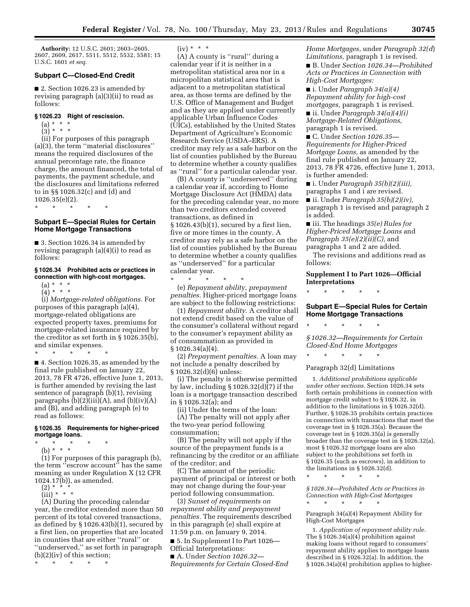**Authority:** 12 U.S.C. 2601; 2603–2605, 2607, 2609, 2617, 5511, 5512, 5532, 5581; 15 U.S.C. 1601 *et seq.* 

# **Subpart C—Closed-End Credit**

■ 2. Section 1026.23 is amended by revising paragraph (a)(3)(ii) to read as follows:

#### **§ 1026.23 Right of rescission.**

- (a) \* \* \*
- $(3) * * * *$

(ii) For purposes of this paragraph (a)(3), the term ''material disclosures'' means the required disclosures of the annual percentage rate, the finance charge, the amount financed, the total of payments, the payment schedule, and the disclosures and limitations referred to in §§ 1026.32(c) and (d) and 1026.35(e)(2).

\* \* \* \* \*

### **Subpart E—Special Rules for Certain Home Mortgage Transactions**

■ 3. Section 1026.34 is amended by revising paragraph (a)(4)(i) to read as follows:

#### **§ 1026.34 Prohibited acts or practices in connection with high-cost mortgages.**

 $(a) * * * *$  $(4)^*$  \* \* \*

(i) *Mortgage-related obligations.* For purposes of this paragraph (a)(4), mortgage-related obligations are expected property taxes, premiums for mortgage-related insurance required by the creditor as set forth in § 1026.35(b), and similar expenses.

\* \* \* \* \*

■ 4. Section 1026.35, as amended by the final rule published on January 22, 2013, 78 FR 4726, effective June 1, 2013, is further amended by revising the last sentence of paragraph (b)(1), revising paragraphs  $(b)(2)(iii)(A)$ , and  $(b)(iv)(A)$ and (B), and adding paragraph (e) to read as follows:

#### **§ 1026.35 Requirements for higher-priced mortgage loans.**

- \* \* \* \* \*
- (b) \* \* \*

(1) For purposes of this paragraph (b), the term ''escrow account'' has the same meaning as under Regulation X (12 CFR 1024.17(b)), as amended.

- $(2) * *$
- $(iii) * * * *$

(A) During the preceding calendar year, the creditor extended more than 50 percent of its total covered transactions, as defined by § 1026.43(b)(1), secured by a first lien, on properties that are located in counties that are either ''rural'' or ''underserved,'' as set forth in paragraph (b)(2)(iv) of this section;

\* \* \* \* \*

 $(iv) * * * *$ 

(A) A county is ''rural'' during a calendar year if it is neither in a metropolitan statistical area nor in a micropolitan statistical area that is adjacent to a metropolitan statistical area, as those terms are defined by the U.S. Office of Management and Budget and as they are applied under currently applicable Urban Influence Codes (UICs), established by the United States Department of Agriculture's Economic Research Service (USDA–ERS). A creditor may rely as a safe harbor on the list of counties published by the Bureau to determine whether a county qualifies as ''rural'' for a particular calendar year.

(B) A county is ''underserved'' during a calendar year if, according to Home Mortgage Disclosure Act (HMDA) data for the preceding calendar year, no more than two creditors extended covered transactions, as defined in § 1026.43(b)(1), secured by a first lien, five or more times in the county. A creditor may rely as a safe harbor on the list of counties published by the Bureau to determine whether a county qualifies as ''underserved'' for a particular calendar year.

(e) *Repayment ability, prepayment penalties.* Higher-priced mortgage loans are subject to the following restrictions:

\* \* \* \* \*

(1) *Repayment ability.* A creditor shall not extend credit based on the value of the consumer's collateral without regard to the consumer's repayment ability as of consummation as provided in § 1026.34(a)(4).

(2) *Prepayment penalties.* A loan may not include a penalty described by § 1026.32(d)(6) unless:

(i) The penalty is otherwise permitted by law, including  $\S 1026.32(d)(7)$  if the loan is a mortgage transaction described in § 1026.32(a); and

(ii) Under the terms of the loan:

(A) The penalty will not apply after the two-year period following consummation;

(B) The penalty will not apply if the source of the prepayment funds is a refinancing by the creditor or an affiliate of the creditor; and

(C) The amount of the periodic payment of principal or interest or both may not change during the four-year period following consummation.

(3) *Sunset of requirements on repayment ability and prepayment penalties.* The requirements described in this paragraph (e) shall expire at 11:59 p.m. on January 9, 2014.

■ 5. In Supplement I to Part 1026— Official Interpretations:

■ A. Under *Section 1026.32*— *Requirements for Certain Closed-End*  *Home Mortgages,* under *Paragraph 32(d*) *Limitations,* paragraph 1 is revised.

■ B. Under *Section 1026.34—Prohibited Acts or Practices in Connection with High-Cost Mortgages:* 

■ i. Under *Paragraph 34(a)(4) Repayment ability for high-cost mortgages,* paragraph 1 is revised.

■ ii. Under *Paragraph 34(a)(4)(i) Mortgage-Related Obligations,*  paragraph 1 is revised.

■ C. Under *Section 1026.35*— *Requirements for Higher-Priced Mortgage Loans,* as amended by the final rule published on January 22, 2013, 78 FR 4726, effective June 1, 2013, is further amended:

■ i. Under *Paragraph 35(b)(2)(iii),*  paragraphs 1 and i are revised.

■ ii. Under *Paragraph 35(b)(2)(iv),*  paragraph 1 is revised and paragraph 2 is added.

■ iii. The headings *35(e) Rules for Higher-Priced Mortgage Loans* and *Paragraph 35(e)(2)(ii)(C),* and paragraphs 1 and 2 are added.

The revisions and additions read as follows:

**Supplement I to Part 1026—Official Interpretations** 

\* \* \* \* \*

### **Subpart E—Special Rules for Certain Home Mortgage Transactions**

\* \* \* \* \*

*§ 1026.32—Requirements for Certain Closed-End Home Mortgages* 

\* \* \* \* \*

Paragraph 32(d) Limitations

1. *Additional prohibitions applicable under other sections.* Section 1026.34 sets forth certain prohibitions in connection with mortgage credit subject to § 1026.32, in addition to the limitations in § 1026.32(d). Further, § 1026.35 prohibits certain practices in connection with transactions that meet the coverage test in § 1026.35(a). Because the coverage test in § 1026.35(a) is generally broader than the coverage test in § 1026.32(a), most § 1026.32 mortgage loans are also subject to the prohibitions set forth in § 1026.35 (such as escrows), in addition to the limitations in § 1026.32(d).

\* \* \* \* \*

*§ 1026.34—Prohibited Acts or Practices in Connection with High-Cost Mortgages* 

\* \* \* \* \*

Paragraph 34(a)(4) Repayment Ability for High-Cost Mortgages

1. *Application of repayment ability rule.*  The  $\frac{1}{2}$  1026.34(a)(4) prohibition against making loans without regard to consumers' repayment ability applies to mortgage loans described in § 1026.32(a). In addition, the § 1026.34(a)(4) prohibition applies to higher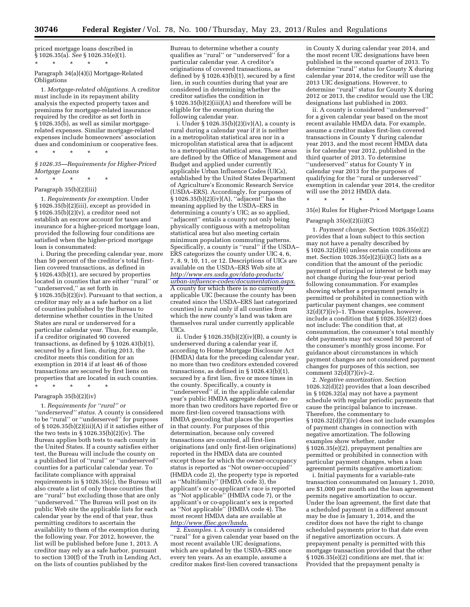priced mortgage loans described in § 1026.35(a). *See* § 1026.35(e)(1). \* \* \* \* \*

### Paragraph 34(a)(4)(i) Mortgage-Related Obligations

1. *Mortgage-related obligations.* A creditor must include in its repayment ability analysis the expected property taxes and premiums for mortgage-related insurance required by the creditor as set forth in § 1026.35(b), as well as similar mortgagerelated expenses. Similar mortgage-related expenses include homeowners' association dues and condominium or cooperative fees. \* \* \* \* \*

*§ 1026.35—Requirements for Higher-Priced Mortgage Loans* 

## \* \* \* \* \* Paragraph 35(b)(2)(iii)

1. *Requirements for exemption.* Under § 1026.35(b)(2)(iii), except as provided in  $§ 1026.35(b)(2)(v)$ , a creditor need not establish an escrow account for taxes and insurance for a higher-priced mortgage loan, provided the following four conditions are satisfied when the higher-priced mortgage loan is consummated:

i. During the preceding calendar year, more than 50 percent of the creditor's total firstlien covered transactions, as defined in § 1026.43(b)(1), are secured by properties located in counties that are either "rural" or ''underserved,'' as set forth in § 1026.35(b)(2)(iv). Pursuant to that section, a creditor may rely as a safe harbor on a list of counties published by the Bureau to determine whether counties in the United States are rural or underserved for a particular calendar year. Thus, for example, if a creditor originated 90 covered transactions, as defined by § 1026.43(b)(1), secured by a first lien, during 2013, the creditor meets this condition for an exemption in 2014 if at least 46 of those transactions are secured by first liens on properties that are located in such counties.

#### Paragraph 35(b)(2)(iv)

\* \* \* \* \*

1. *Requirements for ''rural'' or ''underserved'' status.* A county is considered to be ''rural'' or ''underserved'' for purposes of § 1026.35(b)(2)(iii)(A) if it satisfies either of the two tests in § 1026.35(b)(2)(iv). The Bureau applies both tests to each county in the United States. If a county satisfies either test, the Bureau will include the county on a published list of ''rural'' or ''underserved'' counties for a particular calendar year. To facilitate compliance with appraisal requirements in § 1026.35(c), the Bureau will also create a list of only those counties that are ''rural'' but excluding those that are only "underserved." The Bureau will post on its public Web site the applicable lists for each calendar year by the end of that year, thus permitting creditors to ascertain the availability to them of the exemption during the following year. For 2012, however, the list will be published before June 1, 2013. A creditor may rely as a safe harbor, pursuant to section 130(f) of the Truth in Lending Act, on the lists of counties published by the

Bureau to determine whether a county qualifies as ''rural'' or ''underserved'' for a particular calendar year. A creditor's originations of covered transactions, as defined by § 1026.43(b)(1), secured by a first lien, in such counties during that year are considered in determining whether the creditor satisfies the condition in § 1026.35(b)(2)(iii)(A) and therefore will be eligible for the exemption during the following calendar year.

i. Under  $\S 1026.35(b)(2)(iv)(A)$ , a county is rural during a calendar year if it is neither in a metropolitan statistical area nor in a micropolitan statistical area that is adjacent to a metropolitan statistical area. These areas are defined by the Office of Management and Budget and applied under currently applicable Urban Influence Codes (UICs), established by the United States Department of Agriculture's Economic Research Service (USDA–ERS). Accordingly, for purposes of § 1026.35(b)(2)(iv)(A), ''adjacent'' has the meaning applied by the USDA–ERS in determining a county's UIC; as so applied, "adjacent" entails a county not only being physically contiguous with a metropolitan statistical area but also meeting certain minimum population commuting patterns. Specifically, a county is "rural" if the USDA– ERS categorizes the county under UIC 4, 6, 7, 8, 9, 10, 11, or 12. Descriptions of UICs are available on the USDA–ERS Web site at *[http://www.ers.usda.gov/data-products/](http://www.ers.usda.gov/data-products/urban-influence-codes/documentation.aspx) [urban-influence-codes/documentation.aspx.](http://www.ers.usda.gov/data-products/urban-influence-codes/documentation.aspx)*  A county for which there is no currently applicable UIC (because the county has been created since the USDA–ERS last categorized counties) is rural only if all counties from which the new county's land was taken are themselves rural under currently applicable UICs.

ii. Under § 1026.35(b)(2)(iv)(B), a county is underserved during a calendar year if, according to Home Mortgage Disclosure Act (HMDA) data for the preceding calendar year, no more than two creditors extended covered transactions, as defined in § 1026.43(b)(1), secured by a first lien, five or more times in the county. Specifically, a county is "underserved" if, in the applicable calendar year's public HMDA aggregate dataset, no more than two creditors have reported five or more first-lien covered transactions with HMDA geocoding that places the properties in that county. For purposes of this determination, because only covered transactions are counted, all first-lien originations (and only first-lien originations) reported in the HMDA data are counted except those for which the owner-occupancy status is reported as ''Not owner-occupied'' (HMDA code 2), the property type is reported as ''Multifamily'' (HMDA code 3), the applicant's or co-applicant's race is reported as ''Not applicable'' (HMDA code 7), or the applicant's or co-applicant's sex is reported as ''Not applicable'' (HMDA code 4). The most recent HMDA data are available at *<http://www.ffiec.gov/hmda>*.

2. *Examples.* i. A county is considered ''rural'' for a given calendar year based on the most recent available UIC designations, which are updated by the USDA–ERS once every ten years. As an example, assume a creditor makes first-lien covered transactions

in County X during calendar year 2014, and the most recent UIC designations have been published in the second quarter of 2013. To determine ''rural'' status for County X during calendar year 2014, the creditor will use the 2013 UIC designations. However, to determine ''rural'' status for County X during 2012 or 2013, the creditor would use the UIC designations last published in 2003.

ii. A county is considered ''underserved'' for a given calendar year based on the most recent available HMDA data. For example, assume a creditor makes first-lien covered transactions in County Y during calendar year 2013, and the most recent HMDA data is for calendar year 2012, published in the third quarter of 2013. To determine ''underserved'' status for County Y in calendar year 2013 for the purposes of qualifying for the ''rural or underserved'' exemption in calendar year 2014, the creditor will use the 2012 HMDA data.

\* \* \* \* \*

35(e) Rules for Higher-Priced Mortgage Loans

#### Paragraph 35(e)(2)(ii)(C)

1. *Payment change.* Section 1026.35(e)(2) provides that a loan subject to this section may not have a penalty described by § 1026.32(d)(6) unless certain conditions are met. Section 1026.35(e)(2)(ii)(C) lists as a condition that the amount of the periodic payment of principal or interest or both may not change during the four-year period following consummation. For examples showing whether a prepayment penalty is permitted or prohibited in connection with particular payment changes, see comment  $32(d)(7)(iv)-1$ . Those examples, however, include a condition that § 1026.35(e)(2) does not include: The condition that, at consummation, the consumer's total monthly debt payments may not exceed 50 percent of the consumer's monthly gross income. For guidance about circumstances in which payment changes are not considered payment changes for purposes of this section, see comment  $32(d)(7)(iv)-2$ .

2. *Negative amortization.* Section 1026.32(d)(2) provides that a loan described in § 1026.32(a) may not have a payment schedule with regular periodic payments that cause the principal balance to increase. Therefore, the commentary to § 1026.32(d)(7)(iv) does not include examples of payment changes in connection with negative amortization. The following examples show whether, under § 1026.35(e)(2), prepayment penalties are permitted or prohibited in connection with particular payment changes, when a loan agreement permits negative amortization:

i. Initial payments for a variable-rate transaction consummated on January 1, 2010, are \$1,000 per month and the loan agreement permits negative amortization to occur. Under the loan agreement, the first date that a scheduled payment in a different amount may be due is January 1, 2014, and the creditor does not have the right to change scheduled payments prior to that date even if negative amortization occurs. A prepayment penalty is permitted with this mortgage transaction provided that the other § 1026.35(e)(2) conditions are met, that is: Provided that the prepayment penalty is